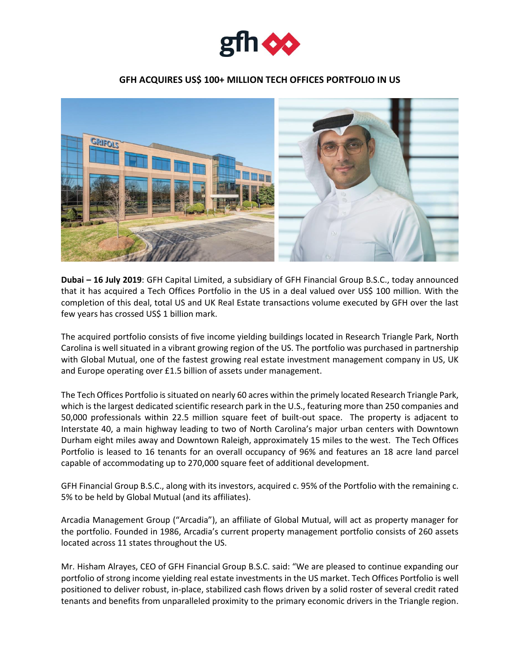

## **GFH ACQUIRES US\$ 100+ MILLION TECH OFFICES PORTFOLIO IN US**



**Dubai – 16 July 2019**: GFH Capital Limited, a subsidiary of GFH Financial Group B.S.C., today announced that it has acquired a Tech Offices Portfolio in the US in a deal valued over US\$ 100 million. With the completion of this deal, total US and UK Real Estate transactions volume executed by GFH over the last few years has crossed US\$ 1 billion mark.

The acquired portfolio consists of five income yielding buildings located in Research Triangle Park, North Carolina is well situated in a vibrant growing region of the US. The portfolio was purchased in partnership with Global Mutual, one of the fastest growing real estate investment management company in US, UK and Europe operating over £1.5 billion of assets under management.

The Tech Offices Portfolio is situated on nearly 60 acres within the primely located Research Triangle Park, which is the largest dedicated scientific research park in the U.S., featuring more than 250 companies and 50,000 professionals within 22.5 million square feet of built-out space. The property is adjacent to Interstate 40, a main highway leading to two of North Carolina's major urban centers with Downtown Durham eight miles away and Downtown Raleigh, approximately 15 miles to the west. The Tech Offices Portfolio is leased to 16 tenants for an overall occupancy of 96% and features an 18 acre land parcel capable of accommodating up to 270,000 square feet of additional development.

GFH Financial Group B.S.C., along with its investors, acquired c. 95% of the Portfolio with the remaining c. 5% to be held by Global Mutual (and its affiliates).

Arcadia Management Group ("Arcadia"), an affiliate of Global Mutual, will act as property manager for the portfolio. Founded in 1986, Arcadia's current property management portfolio consists of 260 assets located across 11 states throughout the US.

Mr. Hisham Alrayes, CEO of GFH Financial Group B.S.C. said: "We are pleased to continue expanding our portfolio of strong income yielding real estate investments in the US market. Tech Offices Portfolio is well positioned to deliver robust, in-place, stabilized cash flows driven by a solid roster of several credit rated tenants and benefits from unparalleled proximity to the primary economic drivers in the Triangle region.